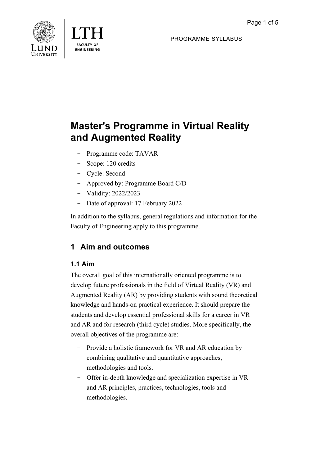

**FNGINFFRING** 

PROGRAMME SYLLABUS

# **Master's Programme in Virtual Reality and Augmented Reality**

- Programme code: TAVAR
- Scope: 120 credits
- Cycle: Second
- Approved by: Programme Board C/D
- Validity: 2022/2023
- Date of approval: 17 February 2022

In addition to the syllabus, general regulations and information for the Faculty of Engineering apply to this programme.

## **1 Aim and outcomes**

## **1.1 Aim**

The overall goal of this internationally oriented programme is to develop future professionals in the field of Virtual Reality (VR) and Augmented Reality (AR) by providing students with sound theoretical knowledge and hands-on practical experience. It should prepare the students and develop essential professional skills for a career in VR and AR and for research (third cycle) studies. More specifically, the overall objectives of the programme are:

- Provide a holistic framework for VR and AR education by combining qualitative and quantitative approaches, methodologies and tools.
- Offer in-depth knowledge and specialization expertise in VR and AR principles, practices, technologies, tools and methodologies.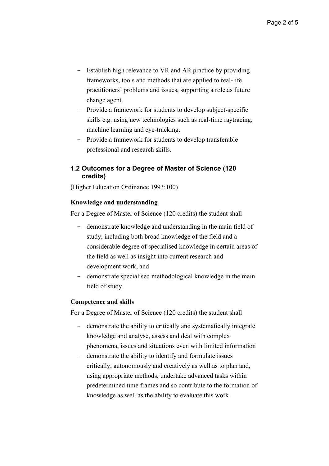- Establish high relevance to VR and AR practice by providing frameworks, tools and methods that are applied to real-life practitioners' problems and issues, supporting a role as future change agent.
- Provide a framework for students to develop subject-specific skills e.g. using new technologies such as real-time raytracing, machine learning and eye-tracking.
- Provide a framework for students to develop transferable professional and research skills.

#### **1.2 Outcomes for a Degree of Master of Science (120 credits)**

(Higher Education Ordinance 1993:100)

#### **Knowledge and understanding**

For a Degree of Master of Science (120 credits) the student shall

- demonstrate knowledge and understanding in the main field of study, including both broad knowledge of the field and a considerable degree of specialised knowledge in certain areas of the field as well as insight into current research and development work, and
- demonstrate specialised methodological knowledge in the main field of study.

#### **Competence and skills**

For a Degree of Master of Science (120 credits) the student shall

- demonstrate the ability to critically and systematically integrate knowledge and analyse, assess and deal with complex phenomena, issues and situations even with limited information
- demonstrate the ability to identify and formulate issues critically, autonomously and creatively as well as to plan and, using appropriate methods, undertake advanced tasks within predetermined time frames and so contribute to the formation of knowledge as well as the ability to evaluate this work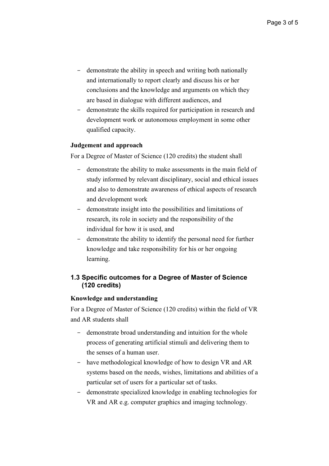- demonstrate the ability in speech and writing both nationally and internationally to report clearly and discuss his or her conclusions and the knowledge and arguments on which they are based in dialogue with different audiences, and
- demonstrate the skills required for participation in research and development work or autonomous employment in some other qualified capacity.

#### **Judgement and approach**

For a Degree of Master of Science (120 credits) the student shall

- demonstrate the ability to make assessments in the main field of study informed by relevant disciplinary, social and ethical issues and also to demonstrate awareness of ethical aspects of research and development work
- demonstrate insight into the possibilities and limitations of research, its role in society and the responsibility of the individual for how it is used, and
- demonstrate the ability to identify the personal need for further knowledge and take responsibility for his or her ongoing learning.

#### **1.3 Specific outcomes for a Degree of Master of Science (120 credits)**

#### **Knowledge and understanding**

For a Degree of Master of Science (120 credits) within the field of VR and AR students shall

- demonstrate broad understanding and intuition for the whole process of generating artificial stimuli and delivering them to the senses of a human user.
- have methodological knowledge of how to design VR and AR systems based on the needs, wishes, limitations and abilities of a particular set of users for a particular set of tasks.
- demonstrate specialized knowledge in enabling technologies for VR and AR e.g. computer graphics and imaging technology.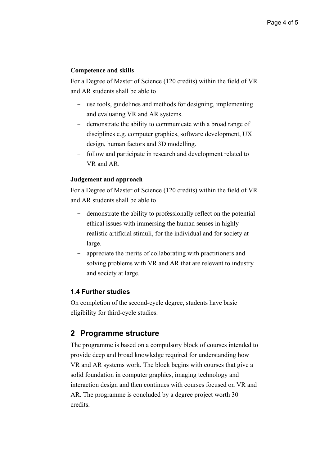#### **Competence and skills**

For a Degree of Master of Science (120 credits) within the field of VR and AR students shall be able to

- use tools, guidelines and methods for designing, implementing and evaluating VR and AR systems.
- demonstrate the ability to communicate with a broad range of disciplines e.g. computer graphics, software development, UX design, human factors and 3D modelling.
- follow and participate in research and development related to VR and AR.

#### **Judgement and approach**

For a Degree of Master of Science (120 credits) within the field of VR and AR students shall be able to

- demonstrate the ability to professionally reflect on the potential ethical issues with immersing the human senses in highly realistic artificial stimuli, for the individual and for society at large.
- appreciate the merits of collaborating with practitioners and solving problems with VR and AR that are relevant to industry and society at large.

#### **1.4 Further studies**

On completion of the second-cycle degree, students have basic eligibility for third-cycle studies.

### **2 Programme structure**

The programme is based on a compulsory block of courses intended to provide deep and broad knowledge required for understanding how VR and AR systems work. The block begins with courses that give a solid foundation in computer graphics, imaging technology and interaction design and then continues with courses focused on VR and AR. The programme is concluded by a degree project worth 30 credits.